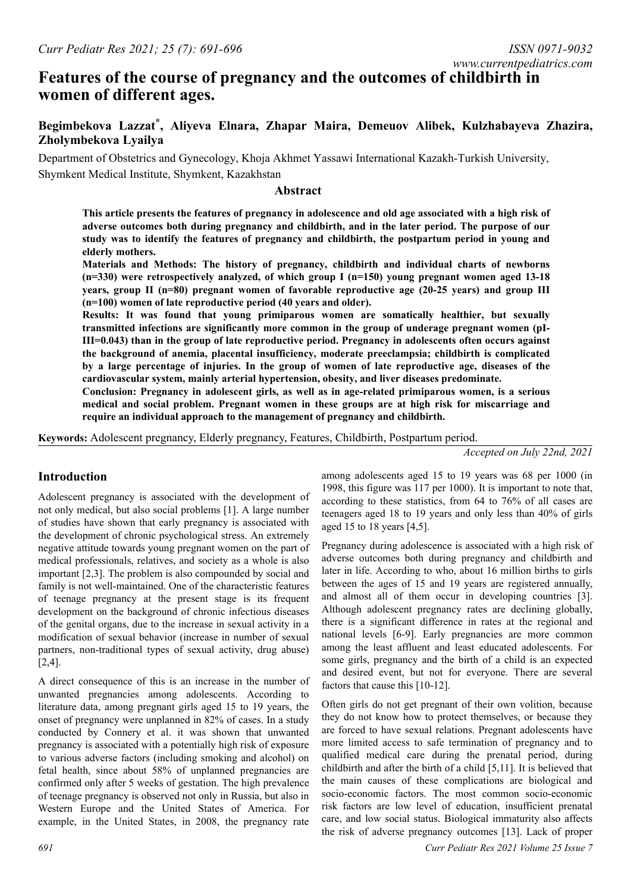# **Features of the course of pregnancy and the outcomes of childbirth in women of different ages.**

## **Begimbekova Lazzat\* , Aliyeva Elnara, Zhapar Maira, Demeuov Alibek, Kulzhabayeva Zhazira, Zholymbekova Lyailya**

Department of Obstetrics and Gynecology, Khoja Akhmet Yassawi International Kazakh-Turkish University, Shymkent Medical Institute, Shymkent, Kazakhstan

#### **Аbstract**

**This article presents the features of pregnancy in adolescence and old age associated with a high risk of adverse outcomes both during pregnancy and childbirth, and in the later period. The purpose of our study was to identify the features of pregnancy and childbirth, the postpartum period in young and elderly mothers.**

**Materials and Methods: The history of pregnancy, childbirth and individual charts of newborns (n=330) were retrospectively analyzed, of which group I (n=150) young pregnant women aged 13-18 years, group II (n=80) pregnant women of favorable reproductive age (20-25 years) and group III (n=100) women of late reproductive period (40 years and older).**

**Results: It was found that young primiparous women are somatically healthier, but sexually transmitted infections are significantly more common in the group of underage pregnant women (pI-III=0.043) than in the group of late reproductive period. Pregnancy in adolescents often occurs against the background of anemia, placental insufficiency, moderate preeclampsia; childbirth is complicated by a large percentage of injuries. In the group of women of late reproductive age, diseases of the cardiovascular system, mainly arterial hypertension, obesity, and liver diseases predominate.**

**Conclusion: Pregnancy in adolescent girls, as well as in age-related primiparous women, is a serious medical and social problem. Pregnant women in these groups are at high risk for miscarriage and require an individual approach to the management of pregnancy and childbirth.**

**Keywords:** Adolescent pregnancy, Elderly pregnancy, Features, Childbirth, Postpartum period.

*Accepted on July 22nd, 2021*

## **Introduction**

Adolescent pregnancy is associated with the development of not only medical, but also social problems [1]. A large number of studies have shown that early pregnancy is associated with the development of chronic psychological stress. An extremely negative attitude towards young pregnant women on the part of medical professionals, relatives, and society as a whole is also important [2,3]. The problem is also compounded by social and family is not well-maintained. One of the characteristic features of teenage pregnancy at the present stage is its frequent development on the background of chronic infectious diseases of the genital organs, due to the increase in sexual activity in a modification of sexual behavior (increase in number of sexual partners, non-traditional types of sexual activity, drug abuse) [2,4].

A direct consequence of this is an increase in the number of unwanted pregnancies among adolescents. According to literature data, among pregnant girls aged 15 to 19 years, the onset of pregnancy were unplanned in 82% of cases. In a study conducted by Connery et al. it was shown that unwanted pregnancy is associated with a potentially high risk of exposure to various adverse factors (including smoking and alcohol) on fetal health, since about 58% of unplanned pregnancies are confirmed only after 5 weeks of gestation. The high prevalence of teenage pregnancy is observed not only in Russia, but also in Western Europe and the United States of America. For example, in the United States, in 2008, the pregnancy rate

among adolescents aged 15 to 19 years was 68 per 1000 (in 1998, this figure was 117 per 1000). It is important to note that, according to these statistics, from 64 to 76% of all cases are teenagers aged 18 to 19 years and only less than 40% of girls aged 15 to 18 years [4,5].

Pregnancy during adolescence is associated with a high risk of adverse outcomes both during pregnancy and childbirth and later in life. According to who, about 16 million births to girls between the ages of 15 and 19 years are registered annually, and almost all of them occur in developing countries [3]. Although adolescent pregnancy rates are declining globally, there is a significant difference in rates at the regional and national levels [6-9]. Early pregnancies are more common among the least affluent and least educated adolescents. For some girls, pregnancy and the birth of a child is an expected and desired event, but not for everyone. There are several factors that cause this [10-12].

Often girls do not get pregnant of their own volition, because they do not know how to protect themselves, or because they are forced to have sexual relations. Pregnant adolescents have more limited access to safe termination of pregnancy and to qualified medical care during the prenatal period, during childbirth and after the birth of a child [5,11]. It is believed that the main causes of these complications are biological and socio-economic factors. The most common socio-economic risk factors are low level of education, insufficient prenatal care, and low social status. Biological immaturity also affects the risk of adverse pregnancy outcomes [13]. Lack of proper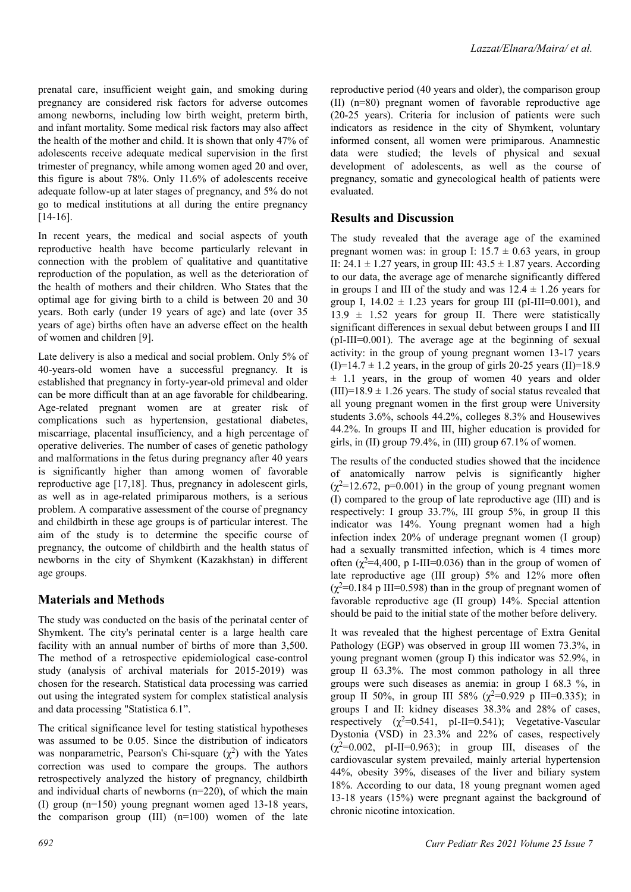prenatal care, insufficient weight gain, and smoking during pregnancy are considered risk factors for adverse outcomes among newborns, including low birth weight, preterm birth, and infant mortality. Some medical risk factors may also affect the health of the mother and child. It is shown that only 47% of adolescents receive adequate medical supervision in the first trimester of pregnancy, while among women aged 20 and over, this figure is about 78%. Only 11.6% of adolescents receive adequate follow-up at later stages of pregnancy, and 5% do not go to medical institutions at all during the entire pregnancy [14-16].

In recent years, the medical and social aspects of youth reproductive health have become particularly relevant in connection with the problem of qualitative and quantitative reproduction of the population, as well as the deterioration of the health of mothers and their children. Who States that the optimal age for giving birth to a child is between 20 and 30 years. Both early (under 19 years of age) and late (over 35 years of age) births often have an adverse effect on the health of women and children [9].

Late delivery is also a medical and social problem. Only 5% of 40-years-old women have a successful pregnancy. It is established that pregnancy in forty-year-old primeval and older can be more difficult than at an age favorable for childbearing. Age-related pregnant women are at greater risk of complications such as hypertension, gestational diabetes, miscarriage, placental insufficiency, and a high percentage of operative deliveries. The number of cases of genetic pathology and malformations in the fetus during pregnancy after 40 years is significantly higher than among women of favorable reproductive age [17,18]. Thus, pregnancy in adolescent girls, as well as in age-related primiparous mothers, is a serious problem. A comparative assessment of the course of pregnancy and childbirth in these age groups is of particular interest. The aim of the study is to determine the specific course of pregnancy, the outcome of childbirth and the health status of newborns in the city of Shymkent (Kazakhstan) in different age groups.

### **Materials and Methods**

The study was conducted on the basis of the perinatal center of Shymkent. The city's perinatal center is a large health care facility with an annual number of births of more than 3,500. The method of a retrospective epidemiological case-control study (analysis of archival materials for 2015-2019) was chosen for the research. Statistical data processing was carried out using the integrated system for complex statistical analysis and data processing "Statistica 6.1".

The critical significance level for testing statistical hypotheses was assumed to be 0.05. Since the distribution of indicators was nonparametric, Pearson's Chi-square  $(\chi^2)$  with the Yates correction was used to compare the groups. The authors retrospectively analyzed the history of pregnancy, childbirth and individual charts of newborns (n=220), of which the main (I) group (n=150) young pregnant women aged 13-18 years, the comparison group  $(III)$   $(n=100)$  women of the late reproductive period (40 years and older), the comparison group (II) (n=80) pregnant women of favorable reproductive age (20-25 years). Criteria for inclusion of patients were such indicators as residence in the city of Shymkent, voluntary informed consent, all women were primiparous. Anamnestic data were studied; the levels of physical and sexual development of adolescents, as well as the course of pregnancy, somatic and gynecological health of patients were evaluated.

### **Results and Discussion**

The study revealed that the average age of the examined pregnant women was: in group I:  $15.7 \pm 0.63$  years, in group II:  $24.1 \pm 1.27$  years, in group III:  $43.5 \pm 1.87$  years. According to our data, the average age of menarche significantly differed in groups I and III of the study and was  $12.4 \pm 1.26$  years for group I,  $14.02 \pm 1.23$  years for group III (pI-III=0.001), and  $13.9 \pm 1.52$  years for group II. There were statistically significant differences in sexual debut between groups I and III (pI-III=0.001). The average age at the beginning of sexual activity: in the group of young pregnant women 13-17 years  $(I)=14.7 \pm 1.2$  years, in the group of girls 20-25 years (II)=18.9  $\pm$  1.1 years, in the group of women 40 years and older  $(III)=18.9 \pm 1.26$  years. The study of social status revealed that all young pregnant women in the first group were University students 3.6%, schools 44.2%, colleges 8.3% and Housewives 44.2%. In groups II and III, higher education is provided for girls, in (II) group 79.4%, in (III) group 67.1% of women.

The results of the conducted studies showed that the incidence of anatomically narrow pelvis is significantly higher  $(\chi^2=12.672, p=0.001)$  in the group of young pregnant women (I) compared to the group of late reproductive age (III) and is respectively: I group 33.7%, III group 5%, in group II this indicator was 14%. Young pregnant women had a high infection index 20% of underage pregnant women (I group) had a sexually transmitted infection, which is 4 times more often ( $\chi^2$ =4,400, p I-III=0.036) than in the group of women of late reproductive age (III group) 5% and 12% more often  $(\gamma^2=0.184 \text{ p} \text{ III}=0.598)$  than in the group of pregnant women of favorable reproductive age (II group) 14%. Special attention should be paid to the initial state of the mother before delivery.

It was revealed that the highest percentage of Extra Genital Pathology (EGP) was observed in group III women 73.3%, in young pregnant women (group I) this indicator was 52.9%, in group II 63.3%. The most common pathology in all three groups were such diseases as anemia: in group I 68.3 %, in group II 50%, in group III 58% ( $\chi^2$ =0.929 p III=0.335); in groups I and II: kidney diseases 38.3% and 28% of cases, respectively  $(\chi^2=0.541, \text{ pI-II}=0.541)$ ; Vegetative-Vascular Dystonia (VSD) in 23.3% and 22% of cases, respectively  $(\chi^2=0.002, \text{ pI-II}=0.963);$  in group III, diseases of the cardiovascular system prevailed, mainly arterial hypertension 44%, obesity 39%, diseases of the liver and biliary system 18%. According to our data, 18 young pregnant women aged 13-18 years (15%) were pregnant against the background of chronic nicotine intoxication.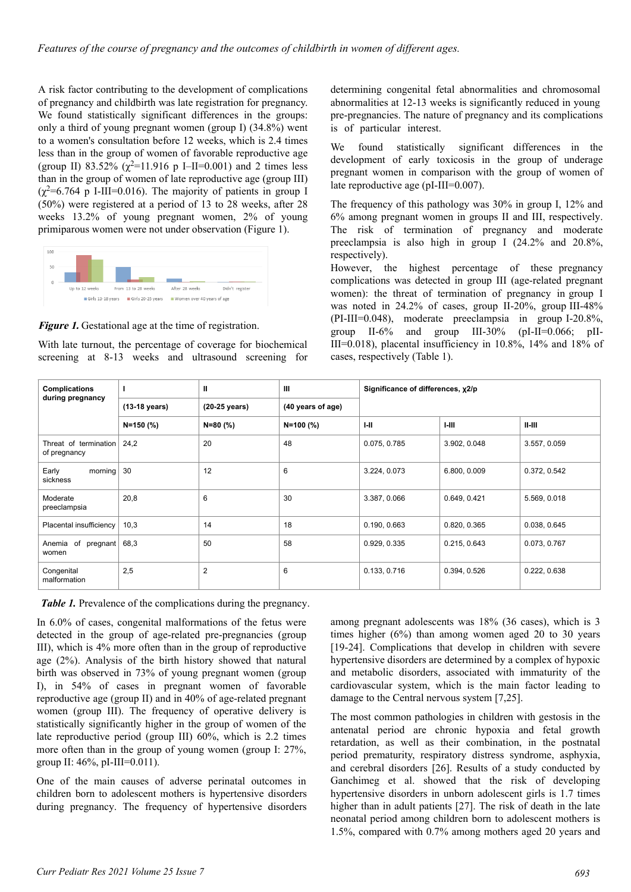A risk factor contributing to the development of complications of pregnancy and childbirth was late registration for pregnancy. We found statistically significant differences in the groups: only a third of young pregnant women (group I) (34.8%) went to a women's consultation before 12 weeks, which is 2.4 times less than in the group of women of favorable reproductive age (group II) 83.52% ( $\chi^2$ =11.916 p I–II=0.001) and 2 times less than in the group of women of late reproductive age (group III)  $(\gamma^2=6.764 \text{ p I-III}=0.016)$ . The majority of patients in group I (50%) were registered at a period of 13 to 28 weeks, after 28 weeks 13.2% of young pregnant women, 2% of young primiparous women were not under observation (Figure 1).



**Figure 1.** Gestational age at the time of registration.

With late turnout, the percentage of coverage for biochemical screening at 8-13 weeks and ultrasound screening for determining congenital fetal abnormalities and chromosomal abnormalities at 12-13 weeks is significantly reduced in young pre-pregnancies. The nature of pregnancy and its complications is of particular interest.

We found statistically significant differences in the development of early toxicosis in the group of underage pregnant women in comparison with the group of women of late reproductive age (pI-III=0.007).

The frequency of this pathology was 30% in group I, 12% and 6% among pregnant women in groups II and III, respectively. The risk of termination of pregnancy and moderate preeclampsia is also high in group I (24.2% and 20.8%, respectively).

However, the highest percentage of these pregnancy complications was detected in group III (age-related pregnant women): the threat of termination of pregnancy in group I was noted in 24.2% of cases, group II-20%, group III-48% (PI-III=0.048), moderate preeclampsia in group I-20.8%, group II-6% and group III-30% (pI-II=0.066; pII-III=0.018), placental insufficiency in 10.8%, 14% and 18% of cases, respectively (Table 1).

| <b>Complications</b><br>during pregnancy |               | Ш              | Ш                 | Significance of differences, x2/p |              |              |
|------------------------------------------|---------------|----------------|-------------------|-----------------------------------|--------------|--------------|
|                                          | (13-18 years) | (20-25 years)  | (40 years of age) |                                   |              |              |
|                                          | $N = 150$ (%) | N=80 (%)       | N=100 (%)         | $1 - 11$                          | $I-III$      | $II-HI$      |
| Threat of termination<br>of pregnancy    | 24,2          | 20             | 48                | 0.075, 0.785                      | 3.902, 0.048 | 3.557, 0.059 |
| Early<br>morning<br>sickness             | 30            | 12             | 6                 | 3.224, 0.073                      | 6.800, 0.009 | 0.372, 0.542 |
| Moderate<br>preeclampsia                 | 20,8          | $6\phantom{1}$ | 30                | 3.387, 0.066                      | 0.649, 0.421 | 5.569, 0.018 |
| Placental insufficiency                  | 10,3          | 14             | 18                | 0.190, 0.663                      | 0.820, 0.365 | 0.038, 0.645 |
| of<br>Anemia<br>pregnant<br>women        | 68,3          | 50             | 58                | 0.929, 0.335                      | 0.215, 0.643 | 0.073, 0.767 |
| Congenital<br>malformation               | 2,5           | 2              | 6                 | 0.133, 0.716                      | 0.394, 0.526 | 0.222, 0.638 |

*Table 1.* Prevalence of the complications during the pregnancy.

In 6.0% of cases, congenital malformations of the fetus were detected in the group of age-related pre-pregnancies (group III), which is 4% more often than in the group of reproductive age (2%). Analysis of the birth history showed that natural birth was observed in 73% of young pregnant women (group I), in 54% of cases in pregnant women of favorable reproductive age (group II) and in 40% of age-related pregnant women (group III). The frequency of operative delivery is statistically significantly higher in the group of women of the late reproductive period (group III) 60%, which is 2.2 times more often than in the group of young women (group I: 27%, group II: 46%, pI-III=0.011).

One of the main causes of adverse perinatal outcomes in children born to adolescent mothers is hypertensive disorders during pregnancy. The frequency of hypertensive disorders among pregnant adolescents was 18% (36 cases), which is 3 times higher (6%) than among women aged 20 to 30 years [19-24]. Complications that develop in children with severe hypertensive disorders are determined by a complex of hypoxic and metabolic disorders, associated with immaturity of the cardiovascular system, which is the main factor leading to damage to the Central nervous system [7,25].

The most common pathologies in children with gestosis in the antenatal period are chronic hypoxia and fetal growth retardation, as well as their combination, in the postnatal period prematurity, respiratory distress syndrome, asphyxia, and cerebral disorders [26]. Results of a study conducted by Ganchimeg et al. showed that the risk of developing hypertensive disorders in unborn adolescent girls is 1.7 times higher than in adult patients [27]. The risk of death in the late neonatal period among children born to adolescent mothers is 1.5%, compared with 0.7% among mothers aged 20 years and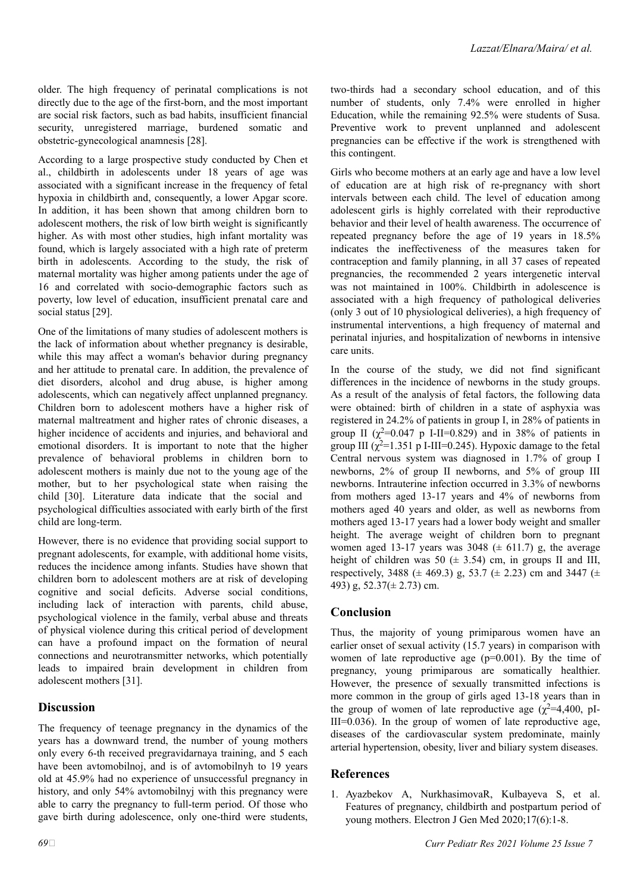older. The high frequency of perinatal complications is not directly due to the age of the first-born, and the most important are social risk factors, such as bad habits, insufficient financial security, unregistered marriage, burdened somatic and obstetric-gynecological anamnesis [28].

According to a large prospective study conducted by Chen et al., childbirth in adolescents under 18 years of age was associated with a significant increase in the frequency of fetal hypoxia in childbirth and, consequently, a lower Apgar score. In addition, it has been shown that among children born to adolescent mothers, the risk of low birth weight is significantly higher. As with most other studies, high infant mortality was found, which is largely associated with a high rate of preterm birth in adolescents. According to the study, the risk of maternal mortality was higher among patients under the age of 16 and correlated with socio-demographic factors such as poverty, low level of education, insufficient prenatal care and social status [29].

One of the limitations of many studies of adolescent mothers is the lack of information about whether pregnancy is desirable, while this may affect a woman's behavior during pregnancy and her attitude to prenatal care. In addition, the prevalence of diet disorders, alcohol and drug abuse, is higher among adolescents, which can negatively affect unplanned pregnancy. Children born to adolescent mothers have a higher risk of maternal maltreatment and higher rates of chronic diseases, a higher incidence of accidents and injuries, and behavioral and emotional disorders. It is important to note that the higher prevalence of behavioral problems in children born to adolescent mothers is mainly due not to the young age of the mother, but to her psychological state when raising the child [30]. Literature data indicate that the social and psychological difficulties associated with early birth of the first child are long-term.

However, there is no evidence that providing social support to pregnant adolescents, for example, with additional home visits, reduces the incidence among infants. Studies have shown that children born to adolescent mothers are at risk of developing cognitive and social deficits. Adverse social conditions, including lack of interaction with parents, child abuse, psychological violence in the family, verbal abuse and threats of physical violence during this critical period of development can have a profound impact on the formation of neural connections and neurotransmitter networks, which potentially leads to impaired brain development in children from adolescent mothers [31].

### **Discussion**

The frequency of teenage pregnancy in the dynamics of the years has a downward trend, the number of young mothers only every 6-th received pregravidarnaya training, and 5 each have been avtomobilnoj, and is of avtomobilnyh to 19 years old at 45.9% had no experience of unsuccessful pregnancy in history, and only 54% avtomobilnyj with this pregnancy were able to carry the pregnancy to full-term period. Of those who gave birth during adolescence, only one-third were students, two-thirds had a secondary school education, and of this number of students, only 7.4% were enrolled in higher Education, while the remaining 92.5% were students of Susa. Preventive work to prevent unplanned and adolescent pregnancies can be effective if the work is strengthened with this contingent.

Girls who become mothers at an early age and have a low level of education are at high risk of re-pregnancy with short intervals between each child. The level of education among adolescent girls is highly correlated with their reproductive behavior and their level of health awareness. The occurrence of repeated pregnancy before the age of 19 years in 18.5% indicates the ineffectiveness of the measures taken for contraception and family planning, in all 37 cases of repeated pregnancies, the recommended 2 years intergenetic interval was not maintained in 100%. Childbirth in adolescence is associated with a high frequency of pathological deliveries (only 3 out of 10 physiological deliveries), a high frequency of instrumental interventions, a high frequency of maternal and perinatal injuries, and hospitalization of newborns in intensive care units.

In the course of the study, we did not find significant differences in the incidence of newborns in the study groups. As a result of the analysis of fetal factors, the following data were obtained: birth of children in a state of asphyxia was registered in 24.2% of patients in group I, in 28% of patients in group II  $(\chi^2=0.047 \text{ p }$  I-II=0.829) and in 38% of patients in group III ( $\chi^2$ =1.351 p I-III=0.245). Hypoxic damage to the fetal Central nervous system was diagnosed in 1.7% of group I newborns, 2% of group II newborns, and 5% of group III newborns. Intrauterine infection occurred in 3.3% of newborns from mothers aged 13-17 years and 4% of newborns from mothers aged 40 years and older, as well as newborns from mothers aged 13-17 years had a lower body weight and smaller height. The average weight of children born to pregnant women aged 13-17 years was 3048 ( $\pm$  611.7) g, the average height of children was 50 ( $\pm$  3.54) cm, in groups II and III, respectively, 3488 ( $\pm$  469.3) g, 53.7 ( $\pm$  2.23) cm and 3447 ( $\pm$ 493) g, 52.37(± 2.73) cm.

## **Conclusion**

Thus, the majority of young primiparous women have an earlier onset of sexual activity (15.7 years) in comparison with women of late reproductive age (p=0.001). By the time of pregnancy, young primiparous are somatically healthier. However, the presence of sexually transmitted infections is more common in the group of girls aged 13-18 years than in the group of women of late reproductive age ( $\chi^2$ =4,400, pI- $III=0.036$ ). In the group of women of late reproductive age, diseases of the cardiovascular system predominate, mainly arterial hypertension, obesity, liver and biliary system diseases.

### **References**

1. Ayazbekov A, NurkhasimovaR, Kulbayeva S, et al. Features of pregnancy, childbirth and postpartum period of young mothers. Electron J Gen Med 2020;17(6):1-8.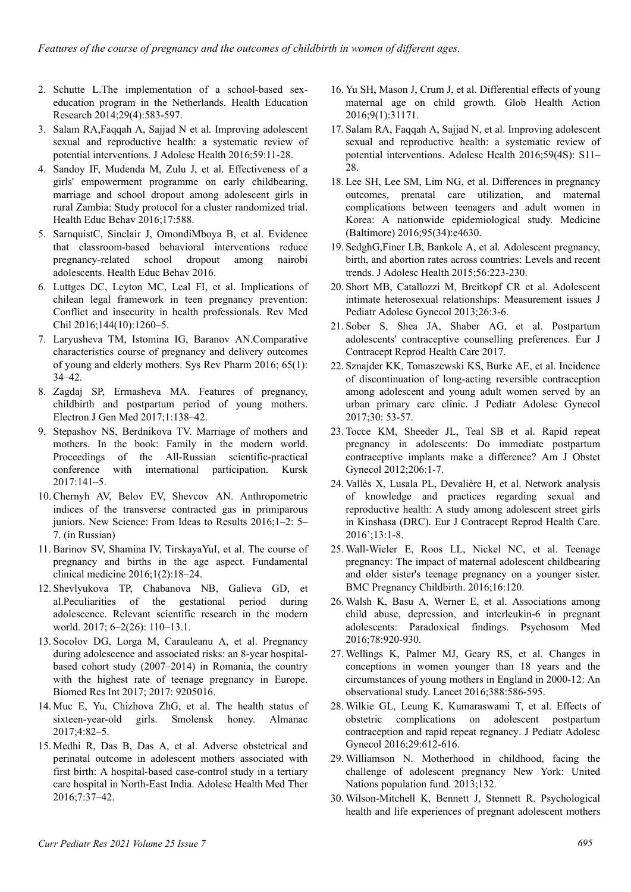- 2. Schutte L.The implementation of a school-based sexeducation program in the Netherlands. Health Education Research 2014;29(4):583-597.
- 3. Salam RA,Faqqah A, Sajjad N et al. Improving adolescent sexual and reproductive health: a systematic review of potential interventions. J Adolesc Health 2016;59:11-28.
- 4. Sandoy IF, Mudenda M, Zulu J, et al. Effectiveness of a girls' empowerment programme on early childbearing, marriage and school dropout among adolescent girls in rural Zambia: Study protocol for a cluster randomized trial. Health Educ Behav 2016;17:588.
- 5. SarnquistC, Sinclair J, OmondiMboya B, et al. Evidence that classroom-based behavioral interventions reduce pregnancy-related school dropout among nairobi adolescents. Health Educ Behav 2016.
- 6. Luttges DC, Leyton MC, Leal FI, et al. Implications of chilean legal framework in teen pregnancy prevention: Conflict and insecurity in health professionals. Rev Med Chil 2016;144(10):1260–5.
- 7. Laryusheva TM, Istomina IG, Baranov AN.Comparative characteristics course of pregnancy and delivery outcomes of young and elderly mothers. Sys Rev Pharm 2016; 65(1): 34–42.
- 8. Zagdaj SP, Ermasheva MA. Features of pregnancy, childbirth and postpartum period of young mothers. Electron J Gen Med 2017;1:138–42.
- 9. Stepashov NS, Berdnikova TV. Marriage of mothers and mothers. In the book: Family in the modern world. Proceedings of the All-Russian scientific-practical conference with international participation. Kursk 2017:141–5.
- 10. Chernyh AV, Belov EV, Shevcov AN. Anthropometric indices of the transverse contracted gas in primiparous juniors. New Science: From Ideas to Results 2016;1–2: 5– 7. (in Russian)
- 11. Barinov SV, Shamina IV, TirskayaYuI, et al. The course of pregnancy and births in the age aspect. Fundamental clinical medicine 2016;1(2):18–24.
- 12. Shevlyukova TP, Chabanova NB, Galieva GD, et al.Peculiarities of the gestational period during adolescence. Relevant scientific research in the modern world. 2017; 6–2(26): 110–13.1.
- 13. Socolov DG, Lorga M, Carauleanu A, et al. Pregnancy during adolescence and associated risks: an 8-year hospitalbased cohort study (2007–2014) in Romania, the country with the highest rate of teenage pregnancy in Europe. Biomed Res Int 2017; 2017: 9205016.
- 14. Muc E, Yu, Chizhova ZhG, et al. The health status of sixteen-year-old girls. Smolensk honey. Almanac 2017;4:82–5.
- 15. Medhi R, Das B, Das A, et al. Adverse obstetrical and perinatal outcome in adolescent mothers associated with first birth: A hospital-based case-control study in a tertiary care hospital in North-East India. Adolesc Health Med Ther 2016;7:37–42.
- 16. Yu SH, Mason J, Crum J, et al. Differential effects of young maternal age on child growth. Glob Health Action 2016;9(1):31171.
- 17. Salam RA, Faqqah A, Sajjad N, et al. Improving adolescent sexual and reproductive health: a systematic review of potential interventions. Adolesc Health 2016;59(4S): S11– 28.
- 18. Lee SH, Lee SM, Lim NG, et al. Differences in pregnancy outcomes, prenatal care utilization, and maternal complications between teenagers and adult women in Korea: A nationwide epidemiological study. Medicine (Baltimore) 2016;95(34):e4630.
- 19. SedghG,Finer LB, Bankole A, et al. Adolescent pregnancy, birth, and abortion rates across countries: Levels and recent trends. J Adolesc Health 2015;56:223-230.
- 20. Short MB, Catallozzi M, Breitkopf CR et al. Adolescent intimate heterosexual relationships: Measurement issues J Pediatr Adolesc Gynecol 2013;26:3-6.
- 21. Sober S, Shea JA, Shaber AG, et al. Postpartum adolescents' contraceptive counselling preferences. Eur J Contracept Reprod Health Care 2017.
- 22. Sznajder KK, Tomaszewski KS, Burke AE, et al. Incidence of discontinuation of long-acting reversible contraception among adolescent and young adult women served by an urban primary care clinic. J Pediatr Adolesc Gynecol 2017;30: 53-57.
- 23. Tocce KM, Sheeder JL, Teal SB et al. Rapid repeat pregnancy in adolescents: Do immediate postpartum contraceptive implants make a difference? Am J Obstet Gynecol 2012;206:1-7.
- 24. Vallès X, Lusala PL, Devalière H, et al. Network analysis of knowledge and practices regarding sexual and reproductive health: A study among adolescent street girls in Kinshasa (DRC). Eur J Contracept Reprod Health Care. 2016';13:1-8.
- 25. Wall-Wieler E, Roos LL, Nickel NC, et al. Teenage pregnancy: The impact of maternal adolescent childbearing and older sister's teenage pregnancy on a younger sister. BMC Pregnancy Childbirth. 2016;16:120.
- 26. Walsh K, Basu A, Werner E, et al. Associations among child abuse, depression, and interleukin-6 in pregnant adolescents: Paradoxical findings. Psychosom Med 2016;78:920-930.
- 27. Wellings K, Palmer MJ, Geary RS, et al. Changes in conceptions in women younger than 18 years and the circumstances of young mothers in England in 2000-12: An observational study. Lancet 2016;388:586-595.
- 28. Wilkie GL, Leung K, Kumaraswami T, et al. Effects of obstetric complications on adolescent postpartum contraception and rapid repeat regnancy. J Pediatr Adolesc Gynecol 2016;29:612-616.
- 29. Williamson N. Motherhood in childhood, facing the challenge of adolescent pregnancy New York: United Nations population fund. 2013;132.
- 30. Wilson-Mitchell K, Bennett J, Stennett R. Psychological health and life experiences of pregnant adolescent mothers